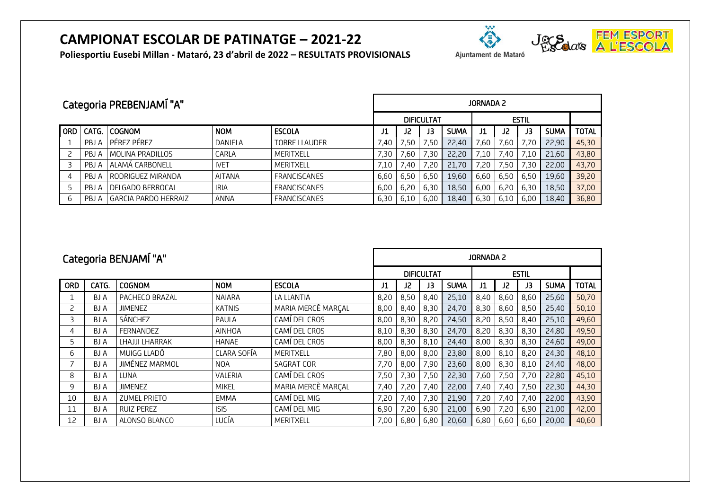## **CAMPIONAT ESCOLAR DE PATINATGE – 2021-22**





**Poliesportiu Eusebi Millan - Mataró, 23 d'abril de 2022 – RESULTATS PROVISIONALS**

| Categoria PREBENJAMÍ "A" |       |                             |             |                      |                                   | JORNADA 2 |                |             |      |      |      |             |              |  |  |
|--------------------------|-------|-----------------------------|-------------|----------------------|-----------------------------------|-----------|----------------|-------------|------|------|------|-------------|--------------|--|--|
|                          |       |                             |             |                      | <b>ESTIL</b><br><b>DIFICULTAT</b> |           |                |             |      |      |      |             |              |  |  |
| <b>ORD</b>               | CATG. | <b>COGNOM</b>               | <b>NOM</b>  | <b>ESCOLA</b>        | J1                                | 12        | JЗ             | <b>SUMA</b> |      | J2   | JЗ   | <b>SUMA</b> | <b>TOTAL</b> |  |  |
|                          | PBJ A | PÉREZ PÉREZ                 | DANIELA     | <b>TORRE LLAUDER</b> | 7,40                              | 7,50      | $^{\circ}$ .50 | 22,40       | 7,60 | 7,60 | 7.70 | 22,90       | 45,30        |  |  |
|                          | PBJ A | MOLINA PRADILLOS            | CARLA       | MERITXELL            | 7,30                              | 60,'      | 7.30           | 22,20       | 7,10 | 7.40 | 7.10 | 21,60       | 43,80        |  |  |
|                          | PBJ A | ALAMÁ CARBONELL             | <b>IVET</b> | MERITXELL            | 7,10                              | 40.'      | '.20           | 21,70       | 7.20 | '.50 | 30.' | 22.00       | 43,70        |  |  |
|                          | PBJ A | RODRIGUEZ MIRANDA           | AITANA      | <b>FRANCISCANES</b>  | 6,60                              | 6,50      | 6.50           | 19,60       | 6,60 | 6,50 | 6,50 | 19,60       | 39,20        |  |  |
|                          | PBJ A | DELGADO BERROCAL            | <b>IRIA</b> | <b>FRANCISCANES</b>  | 6,00                              | 6,20      | 6.30           | 18,50       | 6,00 | 6,20 | 6,30 | 18,50       | 37,00        |  |  |
| b                        | PBJ A | <b>GARCIA PARDO HERRAIZ</b> | ANNA        | <b>FRANCISCANES</b>  | 6,30                              | 6,10      | 6.00           | 18,40       | 6.30 | 6.10 | 6.00 | 18,40       | 36,80        |  |  |

| Categoria BENJAMÍ "A" |            |                   |               |                    | <b>JORNADA 2</b>  |      |      |             |              |      |      |             |              |  |
|-----------------------|------------|-------------------|---------------|--------------------|-------------------|------|------|-------------|--------------|------|------|-------------|--------------|--|
|                       |            |                   |               |                    | <b>DIFICULTAT</b> |      |      |             | <b>ESTIL</b> |      |      |             |              |  |
| <b>ORD</b>            | CATG.      | <b>COGNOM</b>     | <b>NOM</b>    | <b>ESCOLA</b>      | J1                | J2   | J3   | <b>SUMA</b> | J1           | J2   | J3   | <b>SUMA</b> | <b>TOTAL</b> |  |
|                       | BJ A       | PACHECO BRAZAL    | <b>NAIARA</b> | LA LLANTIA         | 8,20              | 8,50 | 8,40 | 25,10       | 8,40         | 8,60 | 8,60 | 25,60       | 50,70        |  |
| 2                     | BJ A       | <b>JIMENEZ</b>    | <b>KATNIS</b> | MARIA MERCÈ MARÇAL | 8,00              | 8,40 | 8,30 | 24,70       | 8,30         | 8,60 | 8,50 | 25,40       | 50,10        |  |
| 3                     | BJ A       | SÁNCHEZ           | PAULA         | CAMÍ DEL CROS      | 8,00              | 8,30 | 8,20 | 24,50       | 8,20         | 8,50 | 8,40 | 25,10       | 49,60        |  |
| 4                     | BJ A       | <b>FERNANDEZ</b>  | AINHOA        | CAMÍ DEL CROS      | 8,10              | 8,30 | 8,30 | 24,70       | 8,20         | 8,30 | 8,30 | 24,80       | 49,50        |  |
| 5                     | BJ A       | LHAJJI LHARRAK    | <b>HANAE</b>  | CAMÍ DEL CROS      | 8,00              | 8,30 | 8,10 | 24,40       | 8,00         | 8,30 | 8,30 | 24,60       | 49,00        |  |
| 6                     | <b>BJA</b> | MUIGG LLADÓ       | CLARA SOFÍA   | MERITXELL          | 7,80              | 8,00 | 8,00 | 23,80       | 8,00         | 8,10 | 8,20 | 24,30       | 48,10        |  |
|                       | BJ A       | JIMÉNEZ MARMOL    | <b>NOA</b>    | SAGRAT COR         | 7,70              | 8,00 | 7,90 | 23,60       | 8,00         | 8,30 | 8,10 | 24,40       | 48,00        |  |
| 8                     | BJ A       | LUNA              | VALERIA       | CAMÍ DEL CROS      | 7,50              | 7,30 | 7,50 | 22,30       | 7,60         | 7,50 | 7,70 | 22,80       | 45,10        |  |
| 9                     | <b>BJA</b> | <b>JIMENEZ</b>    | <b>MIKEL</b>  | MARIA MERCÈ MARÇAL | 7,40              | 7,20 | 7,40 | 22,00       | 7,40         | 7,40 | 7,50 | 22,30       | 44,30        |  |
| 10                    | <b>BJA</b> | ZUMEL PRIETO      | <b>EMMA</b>   | CAMÍ DEL MIG       | 7,20              | 7,40 | 7,30 | 21,90       | 7,20         | 7,40 | 7,40 | 22,00       | 43,90        |  |
| 11                    | BJ A       | <b>RUIZ PEREZ</b> | <b>ISIS</b>   | CAMÍ DEL MIG       | 6,90              | 7,20 | 6,90 | 21,00       | 6,90         | 7,20 | 6,90 | 21,00       | 42,00        |  |
| 12                    | BJ A       | ALONSO BLANCO     | LUCÍA         | MERITXELL          | 7,00              | 6,80 | 6,80 | 20,60       | 6,80         | 6,60 | 6,60 | 20,00       | 40,60        |  |